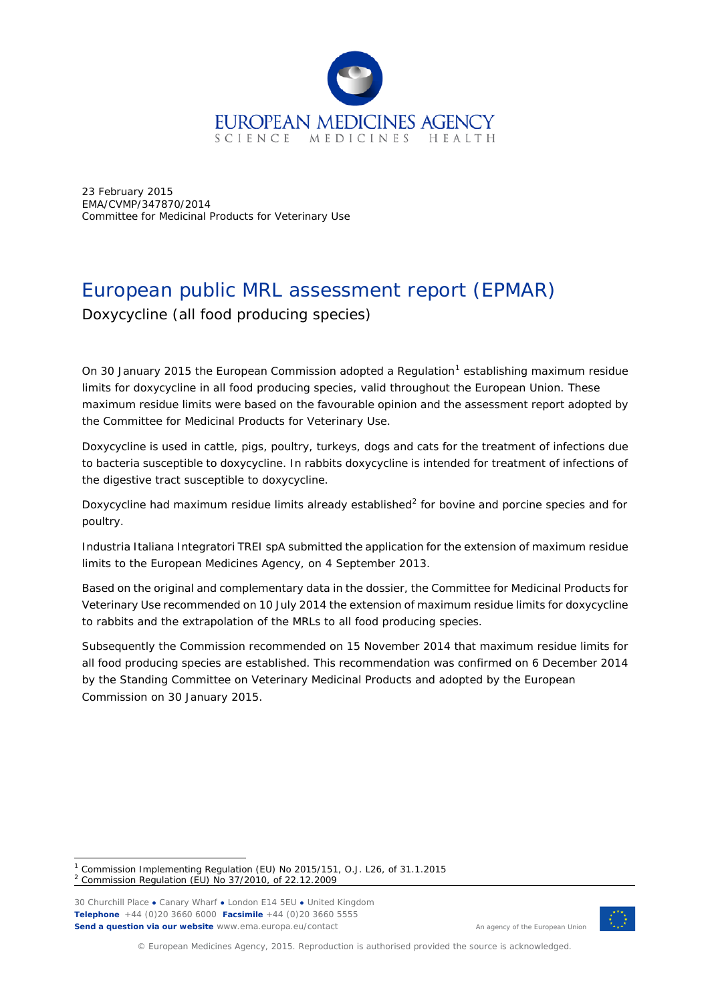

23 February 2015 EMA/CVMP/347870/2014 Committee for Medicinal Products for Veterinary Use

# European public MRL assessment report (EPMAR)

Doxycycline (all food producing species)

On 30 January 20[1](#page-0-0)5 the European Commission adopted a Regulation<sup>1</sup> establishing maximum residue limits for doxycycline in all food producing species, valid throughout the European Union. These maximum residue limits were based on the favourable opinion and the assessment report adopted by the Committee for Medicinal Products for Veterinary Use.

Doxycycline is used in cattle, pigs, poultry, turkeys, dogs and cats for the treatment of infections due to bacteria susceptible to doxycycline. In rabbits doxycycline is intended for treatment of infections of the digestive tract susceptible to doxycycline.

Doxycycline had maximum residue limits already established<sup>[2](#page-0-1)</sup> for bovine and porcine species and for poultry.

Industria Italiana Integratori TREI spA submitted the application for the extension of maximum residue limits to the European Medicines Agency, on 4 September 2013.

Based on the original and complementary data in the dossier, the Committee for Medicinal Products for Veterinary Use recommended on 10 July 2014 the extension of maximum residue limits for doxycycline to rabbits and the extrapolation of the MRLs to all food producing species.

Subsequently the Commission recommended on 15 November 2014 that maximum residue limits for all food producing species are established. This recommendation was confirmed on 6 December 2014 by the Standing Committee on Veterinary Medicinal Products and adopted by the European Commission on 30 January 2015.

30 Churchill Place **●** Canary Wharf **●** London E14 5EU **●** United Kingdom **Telephone** +44 (0)20 3660 6000 **Facsimile** +44 (0)20 3660 5555 **Send a question via our website** www.ema.europa.eu/contact



An agency of the European Union

© European Medicines Agency, 2015. Reproduction is authorised provided the source is acknowledged.

<span id="page-0-1"></span><span id="page-0-0"></span><sup>&</sup>lt;sup>1</sup> Commission Implementing Regulation (EU) No 2015/151, O.J. L26, of 31.1.2015 <sup>2</sup> Commission Regulation (EU) No 37/2010, of 22.12.2009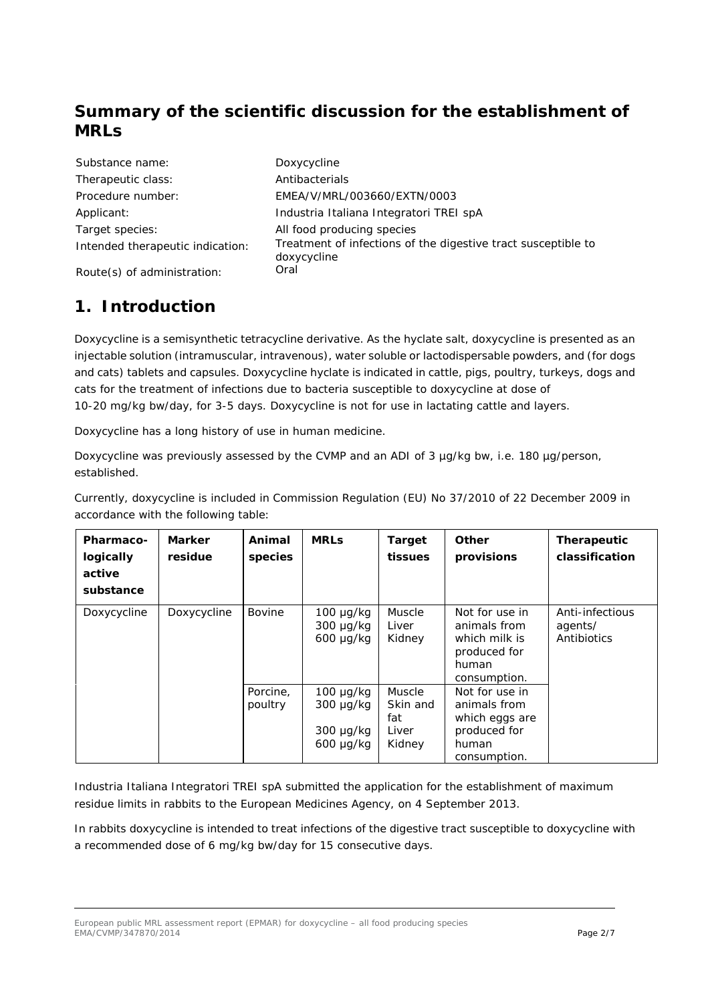# **Summary of the scientific discussion for the establishment of MRLs**

| Substance name:                  |
|----------------------------------|
| Therapeutic class:               |
| Procedure number:                |
| Applicant:                       |
| Target species:                  |
| Intended therapeutic indication: |
|                                  |

Doxycycline Antibacterials Procedure number: EMEA/V/MRL/003660/EXTN/0003 Industria Italiana Integratori TREI spA All food producing species Treatment of infections of the digestive tract susceptible to doxycycline

Route(s) of administration: Oral

### **1. Introduction**

Doxycycline is a semisynthetic tetracycline derivative. As the hyclate salt, doxycycline is presented as an injectable solution (intramuscular, intravenous), water soluble or lactodispersable powders, and (for dogs and cats) tablets and capsules. Doxycycline hyclate is indicated in cattle, pigs, poultry, turkeys, dogs and cats for the treatment of infections due to bacteria susceptible to doxycycline at dose of 10-20 mg/kg bw/day, for 3-5 days. Doxycycline is not for use in lactating cattle and layers.

Doxycycline has a long history of use in human medicine.

Doxycycline was previously assessed by the CVMP and an ADI of 3 µg/kg bw, i.e. 180 µg/person, established.

Currently, doxycycline is included in Commission Regulation (EU) No 37/2010 of 22 December 2009 in accordance with the following table:

| <b>Pharmaco-</b><br>logically<br>active<br>substance | <b>Marker</b><br>residue | Animal<br>species   | <b>MRLs</b>                                                          | <b>Target</b><br>tissues                     | <b>Other</b><br>provisions                                                                | Therapeutic<br>classification             |
|------------------------------------------------------|--------------------------|---------------------|----------------------------------------------------------------------|----------------------------------------------|-------------------------------------------------------------------------------------------|-------------------------------------------|
| Doxycycline                                          | Doxycycline              | Bovine              | $100 \mu q/kg$<br>$300 \mu q/kg$<br>$600 \mu g/kg$                   | <b>Muscle</b><br>Liver<br>Kidney             | Not for use in<br>animals from<br>which milk is<br>produced for<br>human<br>consumption.  | Anti-infectious<br>agents/<br>Antibiotics |
|                                                      |                          | Porcine,<br>poultry | $100 \mu g/kg$<br>$300 \mu g/kg$<br>$300 \mu g/kg$<br>$600 \mu g/kg$ | Muscle<br>Skin and<br>fat<br>Liver<br>Kidney | Not for use in<br>animals from<br>which eggs are<br>produced for<br>human<br>consumption. |                                           |

Industria Italiana Integratori TREI spA submitted the application for the establishment of maximum residue limits in rabbits to the European Medicines Agency, on 4 September 2013.

In rabbits doxycycline is intended to treat infections of the digestive tract susceptible to doxycycline with a recommended dose of 6 mg/kg bw/day for 15 consecutive days.

European public MRL assessment report (EPMAR) for doxycycline – all food producing species EMA/CVMP/347870/2014 Page 2/7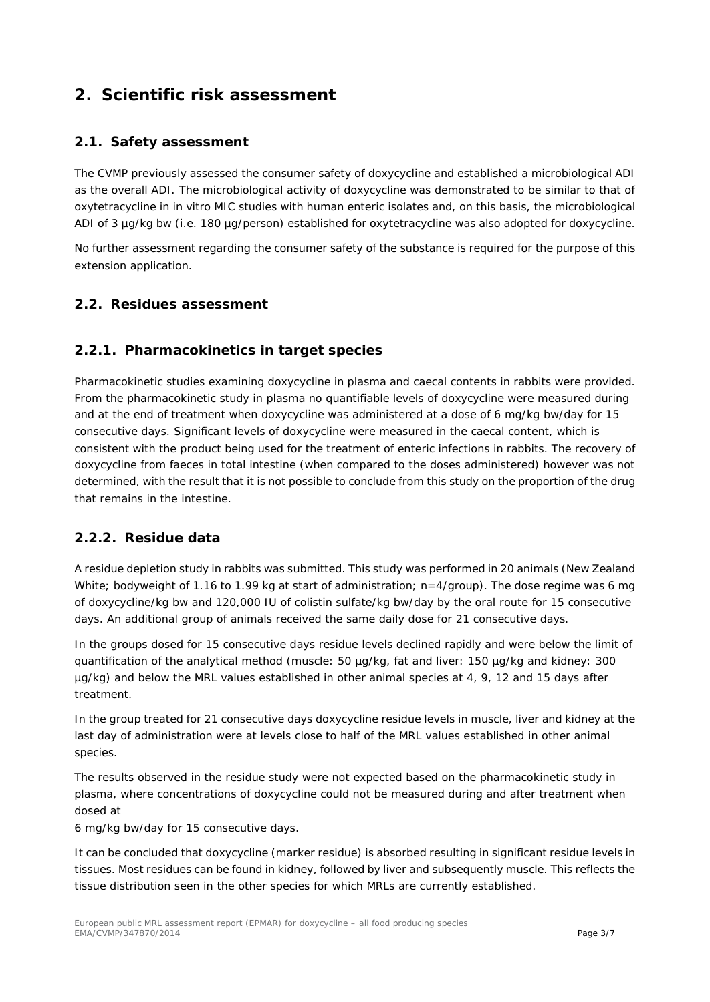## **2. Scientific risk assessment**

#### *2.1. Safety assessment*

The CVMP previously assessed the consumer safety of doxycycline and established a microbiological ADI as the overall ADI. The microbiological activity of doxycycline was demonstrated to be similar to that of oxytetracycline in *in vitro* MIC studies with human enteric isolates and, on this basis, the microbiological ADI of 3 µg/kg bw (i.e. 180 µg/person) established for oxytetracycline was also adopted for doxycycline.

No further assessment regarding the consumer safety of the substance is required for the purpose of this extension application.

#### *2.2. Residues assessment*

#### **2.2.1. Pharmacokinetics in target species**

Pharmacokinetic studies examining doxycycline in plasma and caecal contents in rabbits were provided. From the pharmacokinetic study in plasma no quantifiable levels of doxycycline were measured during and at the end of treatment when doxycycline was administered at a dose of 6 mg/kg bw/day for 15 consecutive days. Significant levels of doxycycline were measured in the caecal content, which is consistent with the product being used for the treatment of enteric infections in rabbits. The recovery of doxycycline from faeces in total intestine (when compared to the doses administered) however was not determined, with the result that it is not possible to conclude from this study on the proportion of the drug that remains in the intestine.

#### **2.2.2. Residue data**

A residue depletion study in rabbits was submitted. This study was performed in 20 animals (New Zealand White; bodyweight of 1.16 to 1.99 kg at start of administration; n=4/group). The dose regime was 6 mg of doxycycline/kg bw and 120,000 IU of colistin sulfate/kg bw/day by the oral route for 15 consecutive days. An additional group of animals received the same daily dose for 21 consecutive days.

In the groups dosed for 15 consecutive days residue levels declined rapidly and were below the limit of quantification of the analytical method (muscle: 50 µg/kg, fat and liver: 150 µg/kg and kidney: 300 µg/kg) and below the MRL values established in other animal species at 4, 9, 12 and 15 days after treatment.

In the group treated for 21 consecutive days doxycycline residue levels in muscle, liver and kidney at the last day of administration were at levels close to half of the MRL values established in other animal species.

The results observed in the residue study were not expected based on the pharmacokinetic study in plasma, where concentrations of doxycycline could not be measured during and after treatment when dosed at

6 mg/kg bw/day for 15 consecutive days.

It can be concluded that doxycycline (marker residue) is absorbed resulting in significant residue levels in tissues. Most residues can be found in kidney, followed by liver and subsequently muscle. This reflects the tissue distribution seen in the other species for which MRLs are currently established.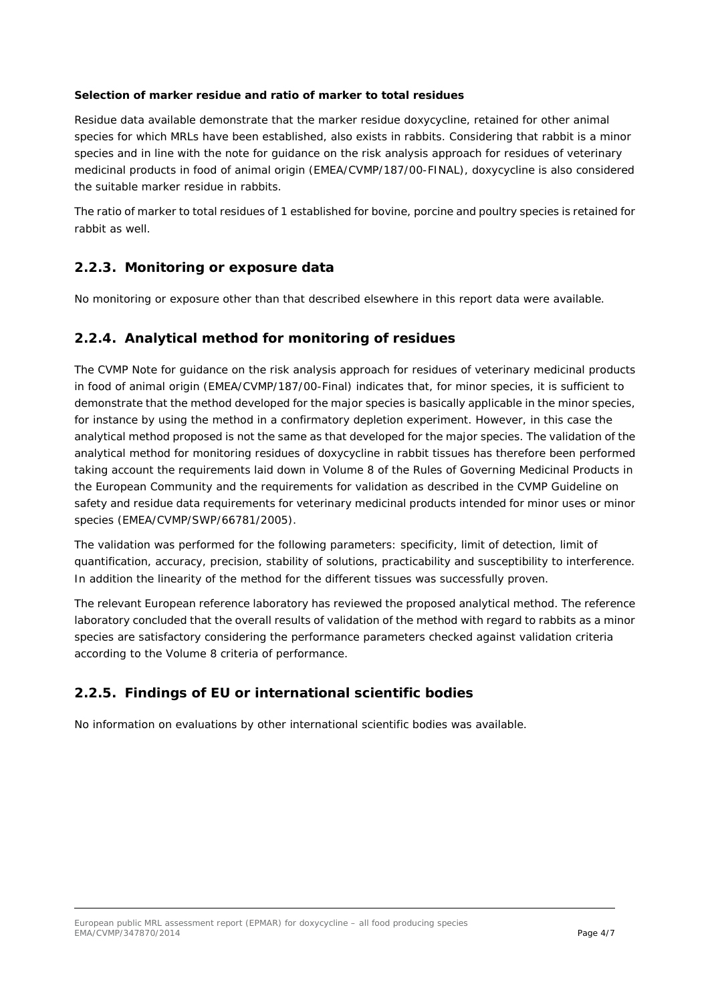#### **Selection of marker residue and ratio of marker to total residues**

Residue data available demonstrate that the marker residue doxycycline, retained for other animal species for which MRLs have been established, also exists in rabbits. Considering that rabbit is a minor species and in line with the note for guidance on the risk analysis approach for residues of veterinary medicinal products in food of animal origin (EMEA/CVMP/187/00-FINAL), doxycycline is also considered the suitable marker residue in rabbits.

The ratio of marker to total residues of 1 established for bovine, porcine and poultry species is retained for rabbit as well.

#### **2.2.3. Monitoring or exposure data**

No monitoring or exposure other than that described elsewhere in this report data were available.

#### **2.2.4. Analytical method for monitoring of residues**

The CVMP Note for guidance on the risk analysis approach for residues of veterinary medicinal products in food of animal origin (EMEA/CVMP/187/00-Final) indicates that, for minor species, it is sufficient to demonstrate that the method developed for the major species is basically applicable in the minor species, for instance by using the method in a confirmatory depletion experiment. However, in this case the analytical method proposed is not the same as that developed for the major species. The validation of the analytical method for monitoring residues of doxycycline in rabbit tissues has therefore been performed taking account the requirements laid down in Volume 8 of the Rules of Governing Medicinal Products in the European Community and the requirements for validation as described in the CVMP Guideline on safety and residue data requirements for veterinary medicinal products intended for minor uses or minor species (EMEA/CVMP/SWP/66781/2005).

The validation was performed for the following parameters: specificity, limit of detection, limit of quantification, accuracy, precision, stability of solutions, practicability and susceptibility to interference. In addition the linearity of the method for the different tissues was successfully proven.

The relevant European reference laboratory has reviewed the proposed analytical method. The reference laboratory concluded that the overall results of validation of the method with regard to rabbits as a minor species are satisfactory considering the performance parameters checked against validation criteria according to the Volume 8 criteria of performance.

#### **2.2.5. Findings of EU or international scientific bodies**

No information on evaluations by other international scientific bodies was available.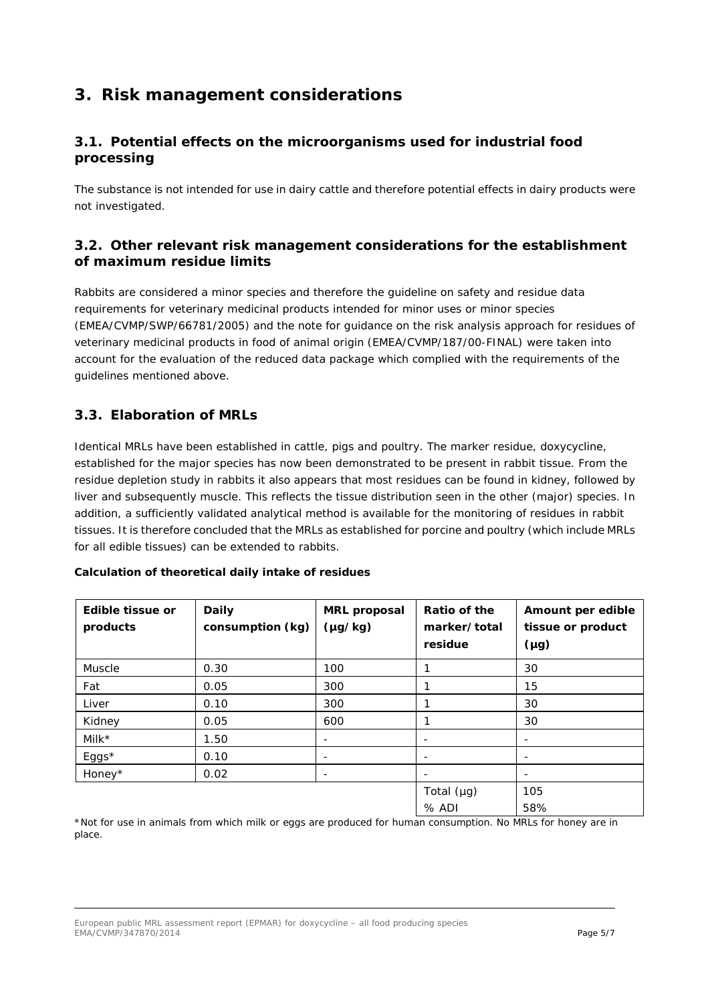## **3. Risk management considerations**

### *3.1. Potential effects on the microorganisms used for industrial food processing*

The substance is not intended for use in dairy cattle and therefore potential effects in dairy products were not investigated.

#### *3.2. Other relevant risk management considerations for the establishment of maximum residue limits*

Rabbits are considered a minor species and therefore the guideline on safety and residue data requirements for veterinary medicinal products intended for minor uses or minor species (EMEA/CVMP/SWP/66781/2005) and the note for guidance on the risk analysis approach for residues of veterinary medicinal products in food of animal origin (EMEA/CVMP/187/00-FINAL) were taken into account for the evaluation of the reduced data package which complied with the requirements of the guidelines mentioned above.

### *3.3. Elaboration of MRLs*

Identical MRLs have been established in cattle, pigs and poultry. The marker residue, doxycycline, established for the major species has now been demonstrated to be present in rabbit tissue. From the residue depletion study in rabbits it also appears that most residues can be found in kidney, followed by liver and subsequently muscle. This reflects the tissue distribution seen in the other (major) species. In addition, a sufficiently validated analytical method is available for the monitoring of residues in rabbit tissues. It is therefore concluded that the MRLs as established for porcine and poultry (which include MRLs for all edible tissues) can be extended to rabbits.

| Edible tissue or<br>products | <b>Daily</b><br>consumption (kg) | <b>MRL</b> proposal<br>$(\mu g/kg)$ | Ratio of the<br>marker/total<br>residue | Amount per edible<br>tissue or product<br>$(\mu g)$ |
|------------------------------|----------------------------------|-------------------------------------|-----------------------------------------|-----------------------------------------------------|
| Muscle                       | 0.30                             | 100                                 | ◀                                       | 30                                                  |
| Fat                          | 0.05                             | 300                                 |                                         | 15                                                  |
| Liver                        | 0.10                             | 300                                 |                                         | 30                                                  |
| Kidney                       | 0.05                             | 600                                 |                                         | 30                                                  |
| Milk $*$                     | 1.50                             |                                     | $\qquad \qquad \blacksquare$            |                                                     |
| Eggs*                        | 0.10                             |                                     | -                                       |                                                     |
| Honey*                       | 0.02                             |                                     | $\qquad \qquad \blacksquare$            |                                                     |
|                              |                                  |                                     | Total $(\mu g)$<br>$%$ ADI              | 105<br>58%                                          |

#### **Calculation of theoretical daily intake of residues**

\*Not for use in animals from which milk or eggs are produced for human consumption. No MRLs for honey are in place.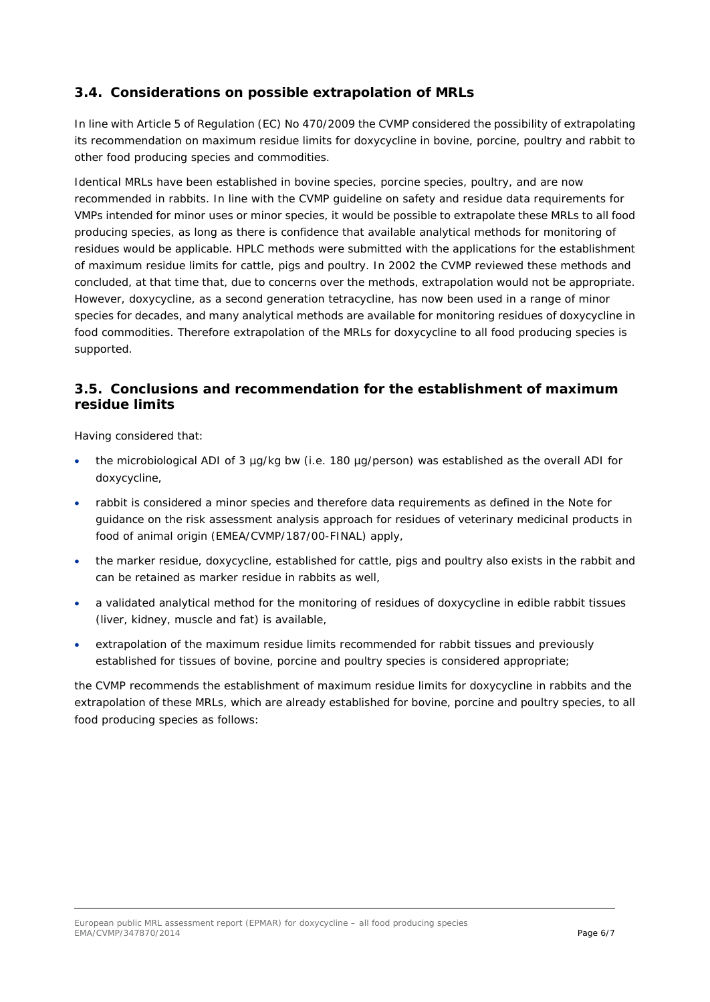#### *3.4. Considerations on possible extrapolation of MRLs*

In line with Article 5 of Regulation (EC) No 470/2009 the CVMP considered the possibility of extrapolating its recommendation on maximum residue limits for doxycycline in bovine, porcine, poultry and rabbit to other food producing species and commodities.

Identical MRLs have been established in bovine species, porcine species, poultry, and are now recommended in rabbits. In line with the CVMP guideline on safety and residue data requirements for VMPs intended for minor uses or minor species, it would be possible to extrapolate these MRLs to all food producing species, as long as there is confidence that available analytical methods for monitoring of residues would be applicable. HPLC methods were submitted with the applications for the establishment of maximum residue limits for cattle, pigs and poultry. In 2002 the CVMP reviewed these methods and concluded, at that time that, due to concerns over the methods, extrapolation would not be appropriate. However, doxycycline, as a second generation tetracycline, has now been used in a range of minor species for decades, and many analytical methods are available for monitoring residues of doxycycline in food commodities. Therefore extrapolation of the MRLs for doxycycline to all food producing species is supported.

#### *3.5. Conclusions and recommendation for the establishment of maximum residue limits*

Having considered that:

- the microbiological ADI of 3 µg/kg bw (i.e. 180 µg/person) was established as the overall ADI for doxycycline,
- rabbit is considered a minor species and therefore data requirements as defined in the Note for guidance on the risk assessment analysis approach for residues of veterinary medicinal products in food of animal origin (EMEA/CVMP/187/00-FINAL) apply,
- the marker residue, doxycycline, established for cattle, pigs and poultry also exists in the rabbit and can be retained as marker residue in rabbits as well,
- a validated analytical method for the monitoring of residues of doxycycline in edible rabbit tissues (liver, kidney, muscle and fat) is available,
- extrapolation of the maximum residue limits recommended for rabbit tissues and previously established for tissues of bovine, porcine and poultry species is considered appropriate;

the CVMP recommends the establishment of maximum residue limits for doxycycline in rabbits and the extrapolation of these MRLs, which are already established for bovine, porcine and poultry species, to all food producing species as follows: